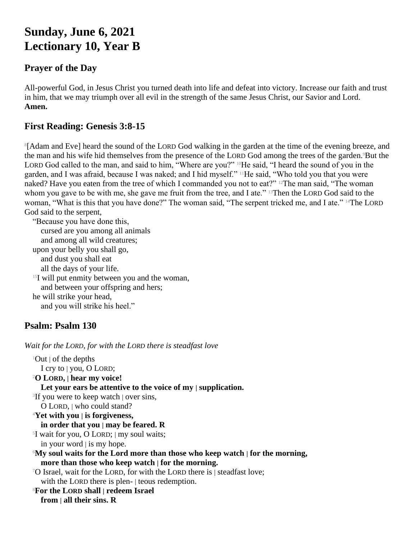# **Sunday, June 6, 2021 Lectionary 10, Year B**

### **Prayer of the Day**

All-powerful God, in Jesus Christ you turned death into life and defeat into victory. Increase our faith and trust in him, that we may triumph over all evil in the strength of the same Jesus Christ, our Savior and Lord. **Amen.**

## **First Reading: Genesis 3:8-15**

8 [Adam and Eve] heard the sound of the LORD God walking in the garden at the time of the evening breeze, and the man and his wife hid themselves from the presence of the LORD God among the trees of the garden.<sup>9</sup>But the LORD God called to the man, and said to him, "Where are you?" <sup>10</sup>He said, "I heard the sound of you in the garden, and I was afraid, because I was naked; and I hid myself." 11He said, "Who told you that you were naked? Have you eaten from the tree of which I commanded you not to eat?" 12The man said, "The woman whom you gave to be with me, she gave me fruit from the tree, and I ate." <sup>13</sup>Then the LORD God said to the woman, "What is this that you have done?" The woman said, "The serpent tricked me, and I ate." 14The LORD God said to the serpent,

"Because you have done this, cursed are you among all animals and among all wild creatures; upon your belly you shall go, and dust you shall eat all the days of your life. <sup>15</sup>I will put enmity between you and the woman, and between your offspring and hers; he will strike your head, and you will strike his heel."

## **Psalm: Psalm 130**

*Wait for the LORD, for with the LORD there is steadfast love*

 $1$ Out  $\vert$  of the depths I cry to | you, O LORD; <sup>2</sup>**O LORD, | hear my voice! Let your ears be attentive to the voice of my | supplication.** 3 If you were to keep watch | over sins, O LORD, | who could stand? <sup>4</sup>**Yet with you | is forgiveness, in order that you | may be feared. R** 5 I wait for you, O LORD; | my soul waits; in your word | is my hope. <sup>6</sup>**My soul waits for the Lord more than those who keep watch | for the morning, more than those who keep watch | for the morning.** <sup>7</sup>O Israel, wait for the LORD, for with the LORD there is | steadfast love; with the LORD there is plen- | teous redemption. <sup>8</sup>**For the LORD shall | redeem Israel from | all their sins. R**